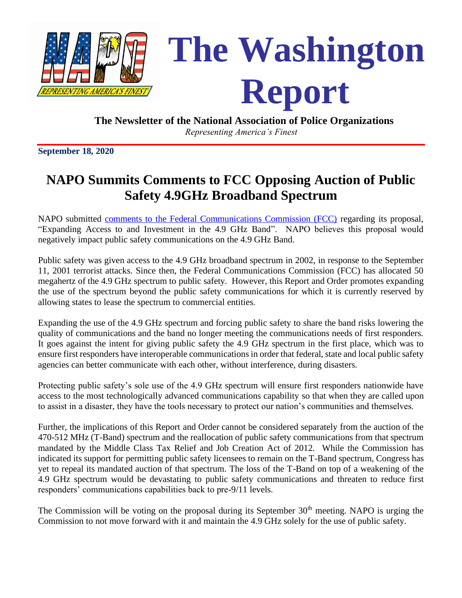

**The Newsletter of the National Association of Police Organizations**  *Representing America's Finest*

**September 18, 2020**

# **NAPO Summits Comments to FCC Opposing Auction of Public Safety 4.9GHz Broadband Spectrum**

NAPO submitted [comments to the Federal Communications Commission \(FCC\)](NAPO%20FCC%20Comments_Opposing%20Auction%20of%204.9%20GHz%20Band.pdf) regarding its proposal, "Expanding Access to and Investment in the 4.9 GHz Band". NAPO believes this proposal would negatively impact public safety communications on the 4.9 GHz Band.

Public safety was given access to the 4.9 GHz broadband spectrum in 2002, in response to the September 11, 2001 terrorist attacks. Since then, the Federal Communications Commission (FCC) has allocated 50 megahertz of the 4.9 GHz spectrum to public safety. However, this Report and Order promotes expanding the use of the spectrum beyond the public safety communications for which it is currently reserved by allowing states to lease the spectrum to commercial entities.

Expanding the use of the 4.9 GHz spectrum and forcing public safety to share the band risks lowering the quality of communications and the band no longer meeting the communications needs of first responders. It goes against the intent for giving public safety the 4.9 GHz spectrum in the first place, which was to ensure first responders have interoperable communications in order that federal, state and local public safety agencies can better communicate with each other, without interference, during disasters.

Protecting public safety's sole use of the 4.9 GHz spectrum will ensure first responders nationwide have access to the most technologically advanced communications capability so that when they are called upon to assist in a disaster, they have the tools necessary to protect our nation's communities and themselves.

Further, the implications of this Report and Order cannot be considered separately from the auction of the 470-512 MHz (T-Band) spectrum and the reallocation of public safety communications from that spectrum mandated by the Middle Class Tax Relief and Job Creation Act of 2012. While the Commission has indicated its support for permitting public safety licensees to remain on the T-Band spectrum, Congress has yet to repeal its mandated auction of that spectrum. The loss of the T-Band on top of a weakening of the 4.9 GHz spectrum would be devastating to public safety communications and threaten to reduce first responders' communications capabilities back to pre-9/11 levels.

The Commission will be voting on the proposal during its September  $30<sup>th</sup>$  meeting. NAPO is urging the Commission to not move forward with it and maintain the 4.9 GHz solely for the use of public safety.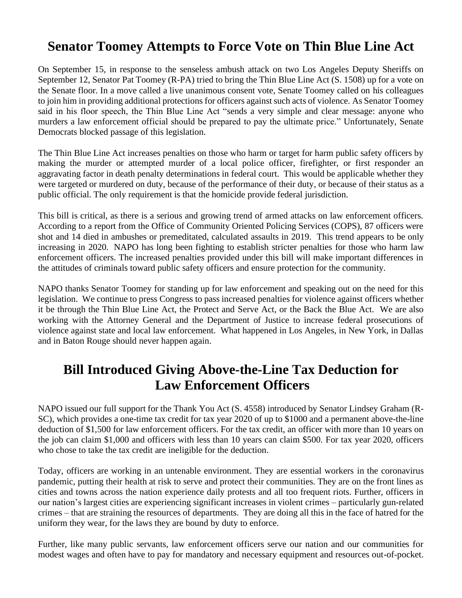## **Senator Toomey Attempts to Force Vote on Thin Blue Line Act**

On September 15, in response to the senseless ambush attack on two Los Angeles Deputy Sheriffs on September 12, Senator Pat Toomey (R-PA) tried to bring the Thin Blue Line Act (S. 1508) up for a vote on the Senate floor. In a move called a live unanimous consent vote, Senate Toomey called on his colleagues to join him in providing additional protections for officers against such acts of violence. As Senator Toomey said in his floor speech, the Thin Blue Line Act "sends a very simple and clear message: anyone who murders a law enforcement official should be prepared to pay the ultimate price." Unfortunately, Senate Democrats blocked passage of this legislation.

The Thin Blue Line Act increases penalties on those who harm or target for harm public safety officers by making the murder or attempted murder of a local police officer, firefighter, or first responder an aggravating factor in death penalty determinations in federal court. This would be applicable whether they were targeted or murdered on duty, because of the performance of their duty, or because of their status as a public official. The only requirement is that the homicide provide federal jurisdiction.

This bill is critical, as there is a serious and growing trend of armed attacks on law enforcement officers. According to a report from the Office of Community Oriented Policing Services (COPS), 87 officers were shot and 14 died in ambushes or premeditated, calculated assaults in 2019. This trend appears to be only increasing in 2020. NAPO has long been fighting to establish stricter penalties for those who harm law enforcement officers. The increased penalties provided under this bill will make important differences in the attitudes of criminals toward public safety officers and ensure protection for the community.

NAPO thanks Senator Toomey for standing up for law enforcement and speaking out on the need for this legislation. We continue to press Congress to pass increased penalties for violence against officers whether it be through the Thin Blue Line Act, the Protect and Serve Act, or the Back the Blue Act. We are also working with the Attorney General and the Department of Justice to increase federal prosecutions of violence against state and local law enforcement. What happened in Los Angeles, in New York, in Dallas and in Baton Rouge should never happen again.

# **Bill Introduced Giving Above-the-Line Tax Deduction for Law Enforcement Officers**

NAPO issued our full support for the Thank You Act (S. 4558) introduced by Senator Lindsey Graham (R-SC), which provides a one-time tax credit for tax year 2020 of up to \$1000 and a permanent above-the-line deduction of \$1,500 for law enforcement officers. For the tax credit, an officer with more than 10 years on the job can claim \$1,000 and officers with less than 10 years can claim \$500. For tax year 2020, officers who chose to take the tax credit are ineligible for the deduction.

Today, officers are working in an untenable environment. They are essential workers in the coronavirus pandemic, putting their health at risk to serve and protect their communities. They are on the front lines as cities and towns across the nation experience daily protests and all too frequent riots. Further, officers in our nation's largest cities are experiencing significant increases in violent crimes – particularly gun-related crimes – that are straining the resources of departments. They are doing all this in the face of hatred for the uniform they wear, for the laws they are bound by duty to enforce.

Further, like many public servants, law enforcement officers serve our nation and our communities for modest wages and often have to pay for mandatory and necessary equipment and resources out-of-pocket.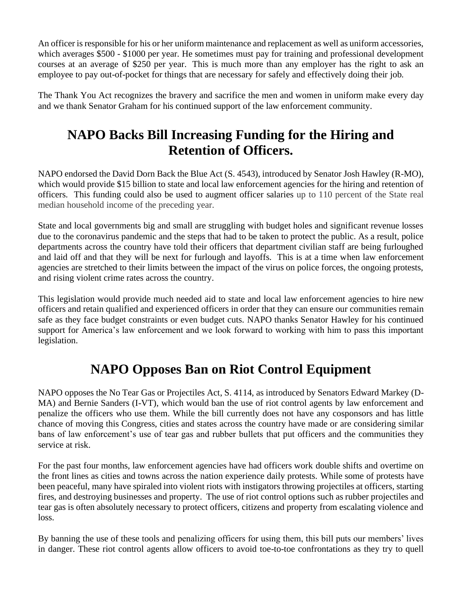An officer is responsible for his or her uniform maintenance and replacement as well as uniform accessories, which averages \$500 - \$1000 per year. He sometimes must pay for training and professional development courses at an average of \$250 per year. This is much more than any employer has the right to ask an employee to pay out-of-pocket for things that are necessary for safely and effectively doing their job.

The Thank You Act recognizes the bravery and sacrifice the men and women in uniform make every day and we thank Senator Graham for his continued support of the law enforcement community.

# **NAPO Backs Bill Increasing Funding for the Hiring and Retention of Officers.**

NAPO endorsed the David Dorn Back the Blue Act (S. 4543), introduced by Senator Josh Hawley (R-MO), which would provide \$15 billion to state and local law enforcement agencies for the hiring and retention of officers. This funding could also be used to augment officer salaries up to 110 percent of the State real median household income of the preceding year.

State and local governments big and small are struggling with budget holes and significant revenue losses due to the coronavirus pandemic and the steps that had to be taken to protect the public. As a result, police departments across the country have told their officers that department civilian staff are being furloughed and laid off and that they will be next for furlough and layoffs. This is at a time when law enforcement agencies are stretched to their limits between the impact of the virus on police forces, the ongoing protests, and rising violent crime rates across the country.

This legislation would provide much needed aid to state and local law enforcement agencies to hire new officers and retain qualified and experienced officers in order that they can ensure our communities remain safe as they face budget constraints or even budget cuts. NAPO thanks Senator Hawley for his continued support for America's law enforcement and we look forward to working with him to pass this important legislation.

# **NAPO Opposes Ban on Riot Control Equipment**

NAPO opposes the No Tear Gas or Projectiles Act, S. 4114, as introduced by Senators Edward Markey (D-MA) and Bernie Sanders (I-VT), which would ban the use of riot control agents by law enforcement and penalize the officers who use them. While the bill currently does not have any cosponsors and has little chance of moving this Congress, cities and states across the country have made or are considering similar bans of law enforcement's use of tear gas and rubber bullets that put officers and the communities they service at risk.

For the past four months, law enforcement agencies have had officers work double shifts and overtime on the front lines as cities and towns across the nation experience daily protests. While some of protests have been peaceful, many have spiraled into violent riots with instigators throwing projectiles at officers, starting fires, and destroying businesses and property. The use of riot control options such as rubber projectiles and tear gas is often absolutely necessary to protect officers, citizens and property from escalating violence and loss.

By banning the use of these tools and penalizing officers for using them, this bill puts our members' lives in danger. These riot control agents allow officers to avoid toe-to-toe confrontations as they try to quell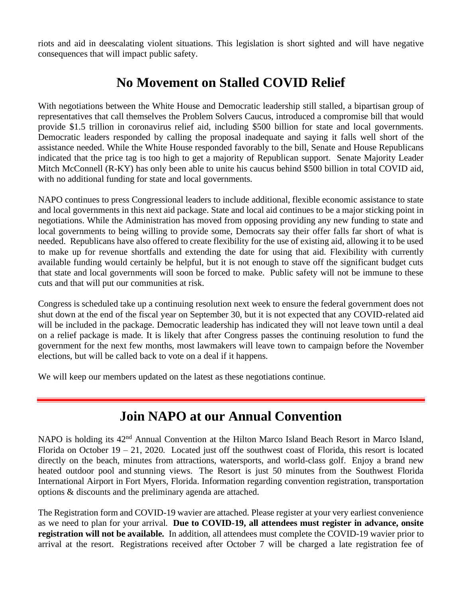riots and aid in deescalating violent situations. This legislation is short sighted and will have negative consequences that will impact public safety.

## **No Movement on Stalled COVID Relief**

With negotiations between the White House and Democratic leadership still stalled, a bipartisan group of representatives that call themselves the Problem Solvers Caucus, introduced a compromise bill that would provide \$1.5 trillion in coronavirus relief aid, including \$500 billion for state and local governments. Democratic leaders responded by calling the proposal inadequate and saying it falls well short of the assistance needed. While the White House responded favorably to the bill, Senate and House Republicans indicated that the price tag is too high to get a majority of Republican support. Senate Majority Leader Mitch McConnell (R-KY) has only been able to unite his caucus behind \$500 billion in total COVID aid, with no additional funding for state and local governments.

NAPO continues to press Congressional leaders to include additional, flexible economic assistance to state and local governments in this next aid package. State and local aid continues to be a major sticking point in negotiations. While the Administration has moved from opposing providing any new funding to state and local governments to being willing to provide some, Democrats say their offer falls far short of what is needed. Republicans have also offered to create flexibility for the use of existing aid, allowing it to be used to make up for revenue shortfalls and extending the date for using that aid. Flexibility with currently available funding would certainly be helpful, but it is not enough to stave off the significant budget cuts that state and local governments will soon be forced to make. Public safety will not be immune to these cuts and that will put our communities at risk.

Congress is scheduled take up a continuing resolution next week to ensure the federal government does not shut down at the end of the fiscal year on September 30, but it is not expected that any COVID-related aid will be included in the package. Democratic leadership has indicated they will not leave town until a deal on a relief package is made. It is likely that after Congress passes the continuing resolution to fund the government for the next few months, most lawmakers will leave town to campaign before the November elections, but will be called back to vote on a deal if it happens.

We will keep our members updated on the latest as these negotiations continue.

## **Join NAPO at our Annual Convention**

NAPO is holding its 42<sup>nd</sup> Annual Convention at the Hilton Marco Island Beach Resort in Marco Island, Florida on October 19 – 21, 2020. Located just off the southwest coast of Florida, this resort is located directly on the beach, minutes from attractions, watersports, and world-class golf. Enjoy a brand new heated outdoor pool and stunning views. The Resort is just 50 minutes from the Southwest Florida International Airport in Fort Myers, Florida. Information regarding convention registration, transportation options & discounts and the preliminary agenda are attached.

The Registration form and COVID-19 wavier are attached. Please register at your very earliest convenience as we need to plan for your arrival. **Due to COVID-19, all attendees must register in advance, onsite registration will not be available.** In addition, all attendees must complete the COVID-19 wavier prior to arrival at the resort. Registrations received after October 7 will be charged a late registration fee of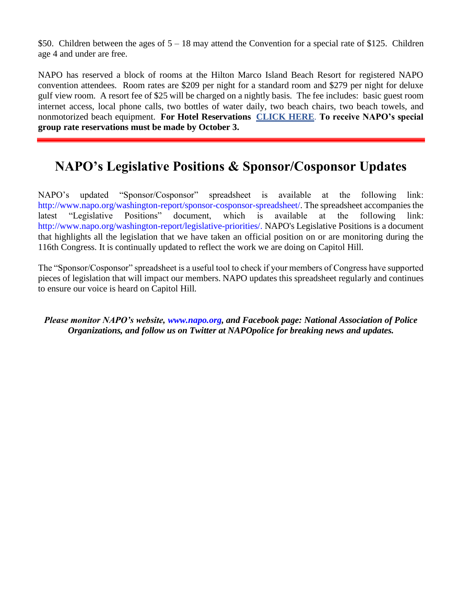\$50. Children between the ages of  $5 - 18$  may attend the Convention for a special rate of \$125. Children age 4 and under are free.

NAPO has reserved a block of rooms at the Hilton Marco Island Beach Resort for registered NAPO convention attendees. Room rates are \$209 per night for a standard room and \$279 per night for deluxe gulf view room. A resort fee of \$25 will be charged on a nightly basis. The fee includes: basic guest room internet access, local phone calls, two bottles of water daily, two beach chairs, two beach towels, and nonmotorized beach equipment. **For Hotel Reservations [CLICK HERE](https://secure3.hilton.com/en_US/hi/reservation/book.htm?inputModule=HOTEL&ctyhocn=MRKMHHF&groupCode=NAPO&arrival=20201014&departure=20201021&cid=OM,WW,HILTONLINK,EN,DirectLink&fromId=HILTONLINKDIRECT)**. **To receive NAPO's special group rate reservations must be made by October 3.**

## **NAPO's Legislative Positions & Sponsor/Cosponsor Updates**

NAPO's updated "Sponsor/Cosponsor" spreadsheet is available at the following link: http://www.napo.org/washington-report/sponsor-cosponsor-spreadsheet/. The spreadsheet accompanies the latest "Legislative Positions" document, which is available at the following link: http://www.napo.org/washington-report/legislative-priorities/. NAPO's Legislative Positions is a document that highlights all the legislation that we have taken an official position on or are monitoring during the 116th Congress. It is continually updated to reflect the work we are doing on Capitol Hill.

The "Sponsor/Cosponsor" spreadsheet is a useful tool to check if your members of Congress have supported pieces of legislation that will impact our members. NAPO updates this spreadsheet regularly and continues to ensure our voice is heard on Capitol Hill.

*Please monitor NAPO's website, www.napo.org, and Facebook page: National Association of Police Organizations, and follow us on Twitter at NAPOpolice for breaking news and updates.*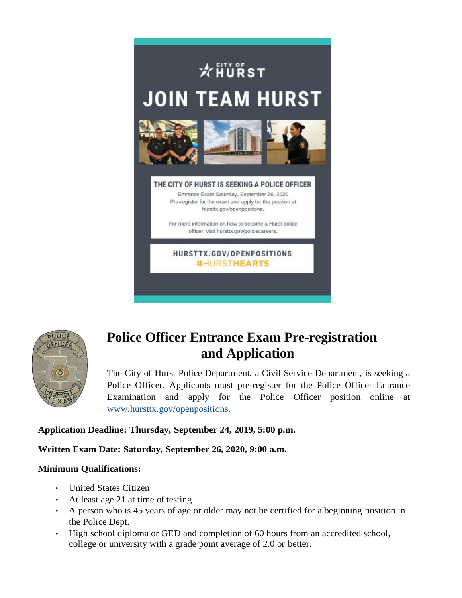



# **Police Officer Entrance Exam Pre-registration and Application**

The City of Hurst Police Department, a Civil Service Department, is seeking a Police Officer. Applicants must pre-register for the Police Officer Entrance Examination and apply for the Police Officer position online at [www.hursttx.gov/openpositions.](http://www.hursttx.gov/openpositions)

### **Application Deadline: Thursday, September 24, 2019, 5:00 p.m.**

### **Written Exam Date: Saturday, September 26, 2020, 9:00 a.m.**

#### **Minimum Qualifications:**

- United States Citizen
- At least age 21 at time of testing
- A person who is 45 years of age or older may not be certified for a beginning position in the Police Dept.
- High school diploma or GED and completion of 60 hours from an accredited school, college or university with a grade point average of 2.0 or better.